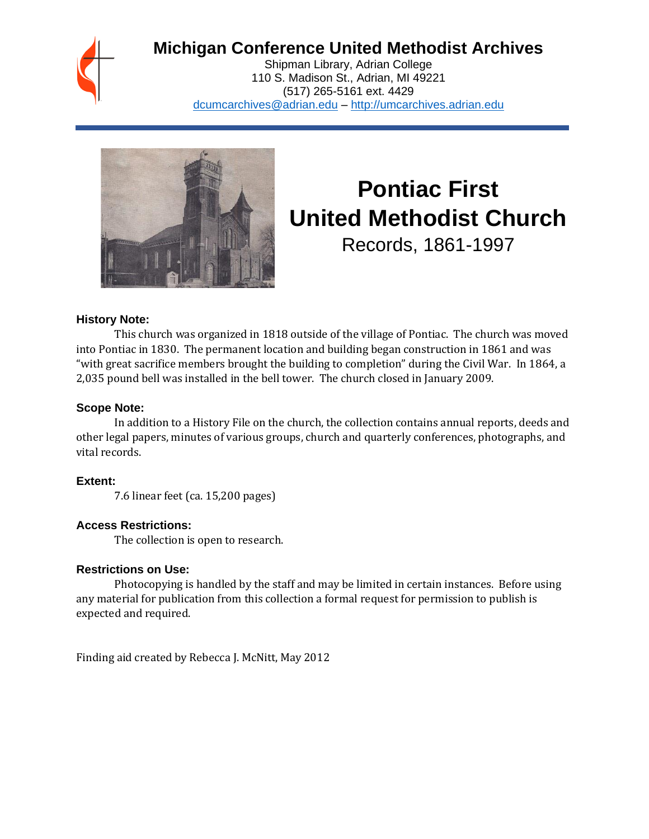## **Michigan Conference United Methodist Archives**

Shipman Library, Adrian College 110 S. Madison St., Adrian, MI 49221 (517) 265-5161 ext. 4429 [dcumcarchives@adrian.edu](mailto:dcumcarchives@adrian.edu) – [http://umcarchives.adrian.edu](http://umcarchives.adrian.edu/)



# **Pontiac First United Methodist Church**

Records, 1861-1997

#### **History Note:**

This church was organized in 1818 outside of the village of Pontiac. The church was moved into Pontiac in 1830. The permanent location and building began construction in 1861 and was "with great sacrifice members brought the building to completion" during the Civil War. In 1864, a 2,035 pound bell was installed in the bell tower. The church closed in January 2009.

#### **Scope Note:**

In addition to a History File on the church, the collection contains annual reports, deeds and other legal papers, minutes of various groups, church and quarterly conferences, photographs, and vital records.

#### **Extent:**

7.6 linear feet (ca. 15,200 pages)

#### **Access Restrictions:**

The collection is open to research.

#### **Restrictions on Use:**

Photocopying is handled by the staff and may be limited in certain instances. Before using any material for publication from this collection a formal request for permission to publish is expected and required.

Finding aid created by Rebecca J. McNitt, May 2012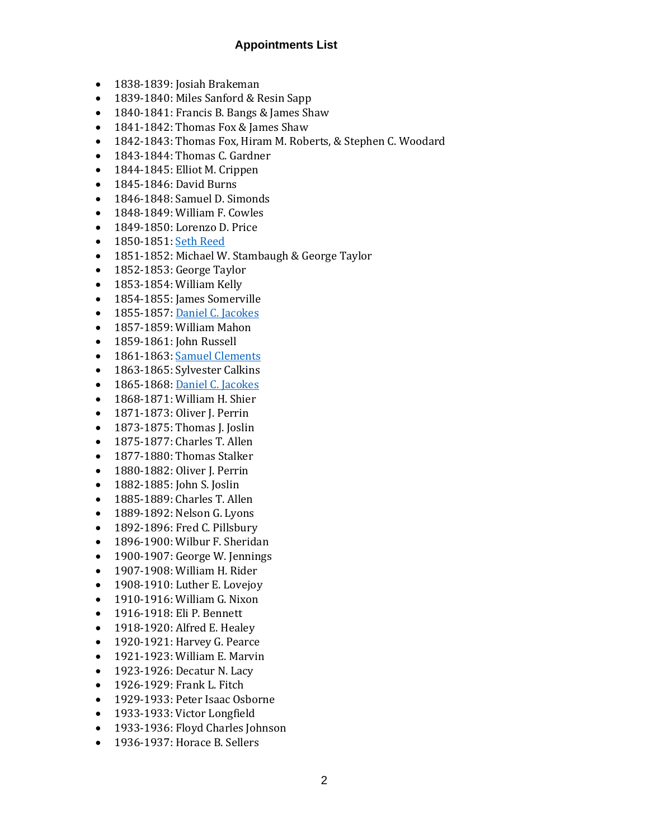- 1838-1839: Josiah Brakeman
- 1839-1840: Miles Sanford & Resin Sapp
- 1840-1841: Francis B. Bangs & James Shaw
- 1841-1842: Thomas Fox & James Shaw
- 1842-1843: Thomas Fox, Hiram M. Roberts, & Stephen C. Woodard
- 1843-1844: Thomas C. Gardner
- 1844-1845: Elliot M. Crippen
- 1845-1846: David Burns
- 1846-1848: Samuel D. Simonds
- 1848-1849: William F. Cowles
- 1849-1850: Lorenzo D. Price
- 1850-1851[: Seth Reed](http://umcarchives.adrian.edu/clergy/reeds.php)
- 1851-1852: Michael W. Stambaugh & George Taylor
- 1852-1853: George Taylor
- 1853-1854: William Kelly
- 1854-1855: James Somerville
- 1855-1857[: Daniel C. Jacokes](http://umcarchives.adrian.edu/clergy/jacokesdc.php)
- 1857-1859: William Mahon
- 1859-1861: John Russell
- 1861-1863[: Samuel Clements](http://umcarchives.adrian.edu/clergy/clementss.php)
- 1863-1865: Sylvester Calkins
- 1865-1868[: Daniel C. Jacokes](http://umcarchives.adrian.edu/clergy/jacokesdc.php)
- 1868-1871: William H. Shier
- 1871-1873: Oliver J. Perrin
- 1873-1875: Thomas J. Joslin
- 1875-1877: Charles T. Allen
- 1877-1880: Thomas Stalker
- 1880-1882: Oliver J. Perrin
- 1882-1885: John S. Joslin
- 1885-1889: Charles T. Allen
- 1889-1892: Nelson G. Lyons
- 1892-1896: Fred C. Pillsbury
- 1896-1900: Wilbur F. Sheridan
- 1900-1907: George W. Jennings
- 1907-1908: William H. Rider
- 1908-1910: Luther E. Lovejoy
- 1910-1916: William G. Nixon
- 1916-1918: Eli P. Bennett
- 1918-1920: Alfred E. Healey
- 1920-1921: Harvey G. Pearce
- 1921-1923: William E. Marvin
- 1923-1926: Decatur N. Lacy
- 1926-1929: Frank L. Fitch
- 1929-1933: Peter Isaac Osborne
- 1933-1933: Victor Longfield
- 1933-1936: Floyd Charles Johnson
- 1936-1937: Horace B. Sellers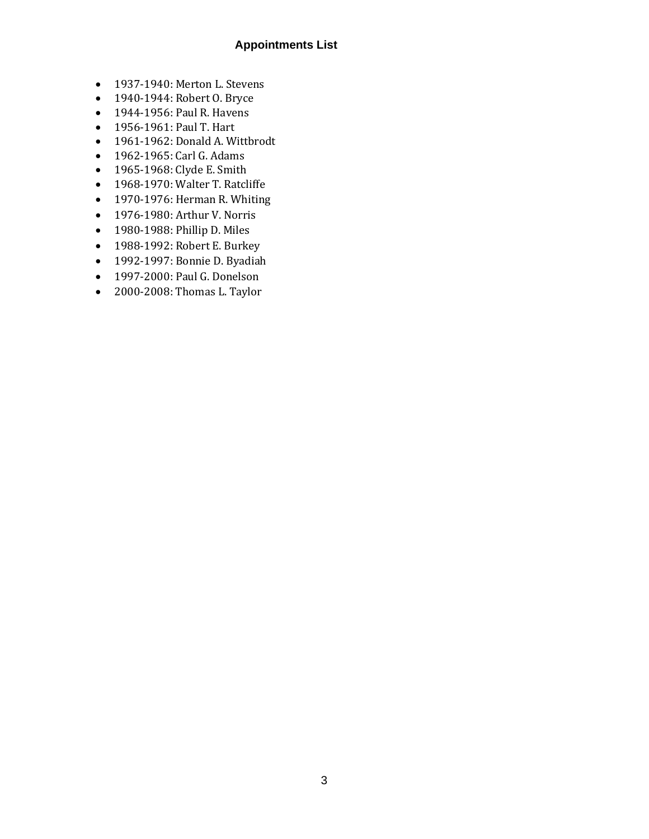- 1937-1940: Merton L. Stevens
- 1940-1944: Robert O. Bryce
- 1944-1956: Paul R. Havens
- 1956-1961: Paul T. Hart
- 1961-1962: Donald A. Wittbrodt
- 1962-1965: Carl G. Adams
- 1965-1968: Clyde E. Smith
- 1968-1970: Walter T. Ratcliffe
- 1970-1976: Herman R. Whiting
- 1976-1980: Arthur V. Norris
- 1980-1988: Phillip D. Miles
- 1988-1992: Robert E. Burkey
- 1992-1997: Bonnie D. Byadiah
- 1997-2000: Paul G. Donelson
- 2000-2008: Thomas L. Taylor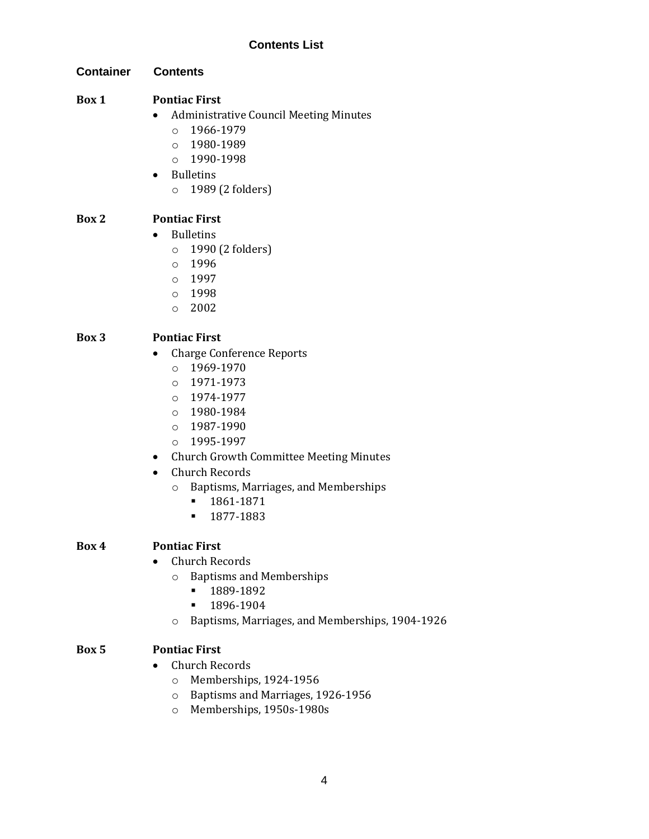#### **Contents List**

**Container Contents**

#### **Box 1 Pontiac First**

- Administrative Council Meeting Minutes
	- $0.1966 1979$
	- o 1980-1989
	- $O$  1990-1998
- Bulletins o 1989 (2 folders)

#### **Box 2 Pontiac First**

- Bulletins
	- o 1990 (2 folders)
	- o 1996
	- o 1997
	- o 1998
	- o 2002

#### **Box 3 Pontiac First**

- Charge Conference Reports
	- o 1969-1970
	- o 1971-1973
	- o 1974-1977
	- o 1980-1984
	- o 1987-1990
	- o 1995-1997
- Church Growth Committee Meeting Minutes
- Church Records
	- o Baptisms, Marriages, and Memberships
		- 1861-1871
		- 1877-1883

#### **Box 4 Pontiac First**

- Church Records
	- o Baptisms and Memberships
		- 1889-1892
		- 1896-1904
	- o Baptisms, Marriages, and Memberships, 1904-1926

#### **Box 5 Pontiac First**

- Church Records
	- o Memberships, 1924-1956
	- o Baptisms and Marriages, 1926-1956
	- o Memberships, 1950s-1980s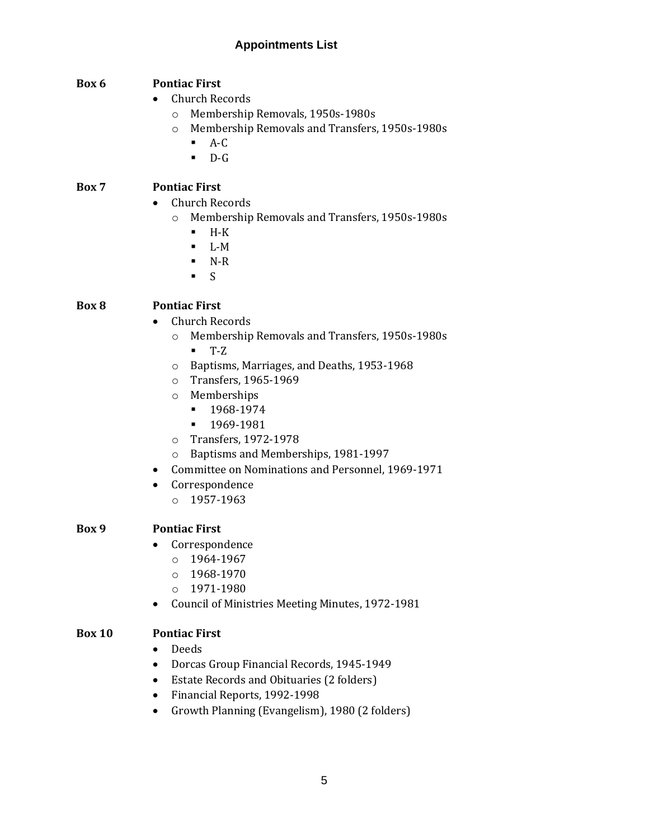#### **Box 6 Pontiac First**

- Church Records
	- o Membership Removals, 1950s-1980s
	- o Membership Removals and Transfers, 1950s-1980s
		- $A-C$
		- D-G

#### **Box 7 Pontiac First**

- Church Records
	- o Membership Removals and Transfers, 1950s-1980s
		- $-H-K$
		- $-L-M$
		- $\blacksquare$  N-R
		- $\blacksquare$

#### **Box 8 Pontiac First**

- Church Records
	- o Membership Removals and Transfers, 1950s-1980s ▪ T-Z
	- o Baptisms, Marriages, and Deaths, 1953-1968
	- o Transfers, 1965-1969
	- o Memberships
		- 1968-1974
		- 1969-1981
	- o Transfers, 1972-1978
	- o Baptisms and Memberships, 1981-1997
- Committee on Nominations and Personnel, 1969-1971
- Correspondence
	- o 1957-1963

#### **Box 9 Pontiac First**

- Correspondence
	- o 1964-1967
	- $O$  1968-1970
	- o 1971-1980
- Council of Ministries Meeting Minutes, 1972-1981

#### **Box 10 Pontiac First**

- Deeds
- Dorcas Group Financial Records, 1945-1949
- Estate Records and Obituaries (2 folders)
- Financial Reports, 1992-1998
- Growth Planning (Evangelism), 1980 (2 folders)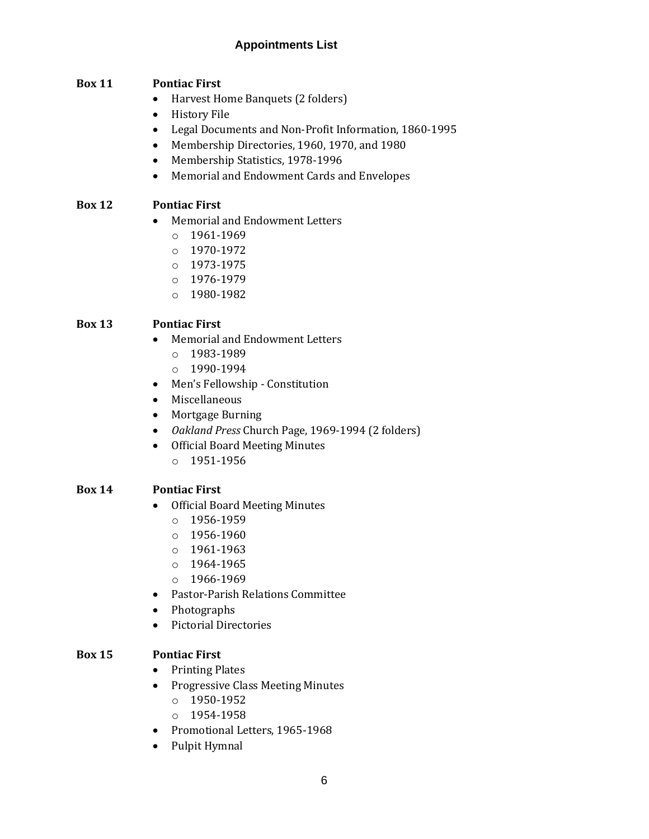#### **Box 11 Pontiac First**

- Harvest Home Banquets (2 folders)
- History File
- Legal Documents and Non-Profit Information, 1860-1995
- Membership Directories, 1960, 1970, and 1980
- Membership Statistics, 1978-1996
- Memorial and Endowment Cards and Envelopes

#### **Box 12 Pontiac First**

- Memorial and Endowment Letters
	- o 1961-1969
	- o 1970-1972
	- o 1973-1975
	- o 1976-1979
	- o 1980-1982

#### **Box 13 Pontiac First**

- Memorial and Endowment Letters
	- o 1983-1989
	- o 1990-1994
- Men's Fellowship Constitution
- Miscellaneous
- Mortgage Burning
- *Oakland Press* Church Page, 1969-1994 (2 folders)
- Official Board Meeting Minutes
	- o 1951-1956

#### **Box 14 Pontiac First**

- Official Board Meeting Minutes
	- o 1956-1959
	- o 1956-1960
	- o 1961-1963
	- o 1964-1965
	- $\circ$  1966-1969
- Pastor-Parish Relations Committee
- Photographs
- Pictorial Directories

#### **Box 15 Pontiac First**

- Printing Plates
- Progressive Class Meeting Minutes
	- o 1950-1952
	- o 1954-1958
- Promotional Letters, 1965-1968
- Pulpit Hymnal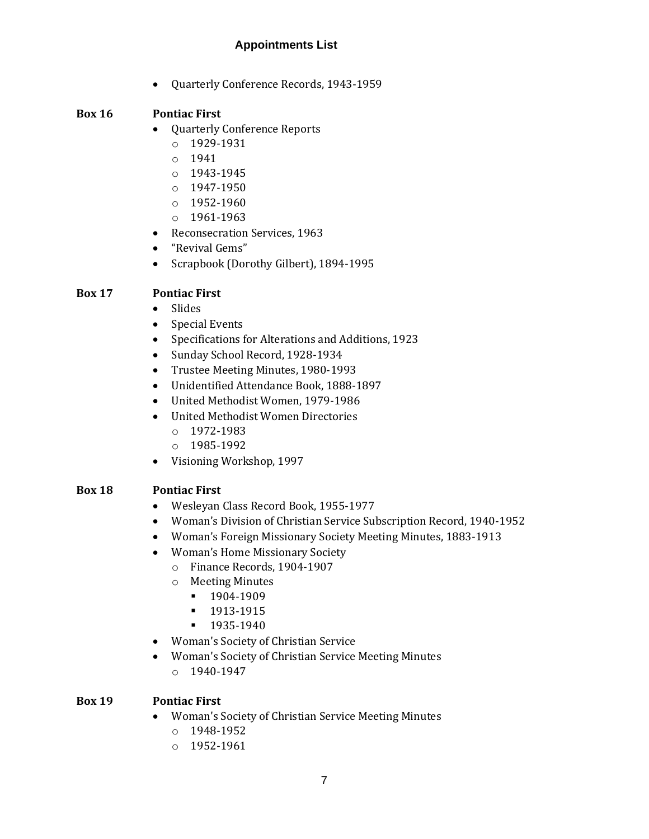• Quarterly Conference Records, 1943-1959

#### **Box 16 Pontiac First**

- Quarterly Conference Reports
	- o 1929-1931
	- o 1941
	- o 1943-1945
	- o 1947-1950
	- o 1952-1960
	- o 1961-1963
- Reconsecration Services, 1963
- "Revival Gems"
- Scrapbook (Dorothy Gilbert), 1894-1995

#### **Box 17 Pontiac First**

- Slides
- Special Events
- Specifications for Alterations and Additions, 1923
- Sunday School Record, 1928-1934
- Trustee Meeting Minutes, 1980-1993
- Unidentified Attendance Book, 1888-1897
- United Methodist Women, 1979-1986
- United Methodist Women Directories
	- $O$  1972-1983
	- o 1985-1992
- Visioning Workshop, 1997

#### **Box 18 Pontiac First**

- Wesleyan Class Record Book, 1955-1977
- Woman's Division of Christian Service Subscription Record, 1940-1952
- Woman's Foreign Missionary Society Meeting Minutes, 1883-1913
- Woman's Home Missionary Society
	- o Finance Records, 1904-1907
	- o Meeting Minutes
		- 1904-1909
		- 1913-1915
		- 1935-1940
- Woman's Society of Christian Service
- Woman's Society of Christian Service Meeting Minutes
	- o 1940-1947

#### **Box 19 Pontiac First**

- Woman's Society of Christian Service Meeting Minutes
	- o 1948-1952
	- o 1952-1961